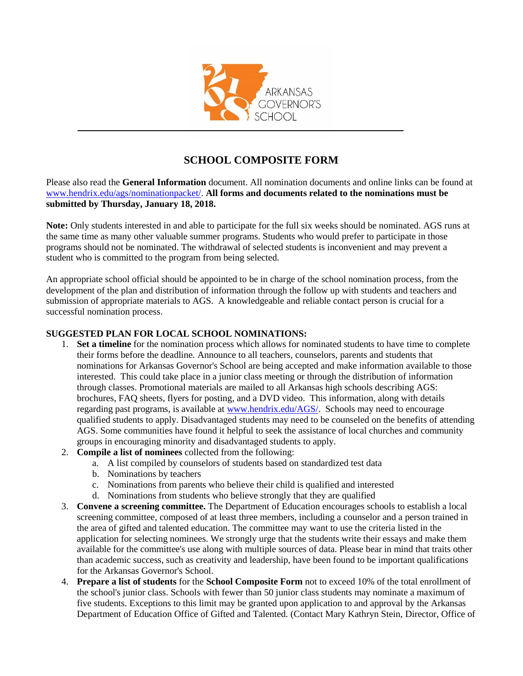

## **SCHOOL COMPOSITE FORM**

Please also read the **General Information** document. All nomination documents and online links can be found at [www.hendrix.edu/ags/](http://www.hendrix.edu/ags)nominationpacket/. **All forms and documents related to the nominations must be submitted by Thursday, January 18, 2018.**

**Note:** Only students interested in and able to participate for the full six weeks should be nominated. AGS runs at the same time as many other valuable summer programs. Students who would prefer to participate in those programs should not be nominated. The withdrawal of selected students is inconvenient and may prevent a student who is committed to the program from being selected.

An appropriate school official should be appointed to be in charge of the school nomination process, from the development of the plan and distribution of information through the follow up with students and teachers and submission of appropriate materials to AGS. A knowledgeable and reliable contact person is crucial for a successful nomination process.

## **SUGGESTED PLAN FOR LOCAL SCHOOL NOMINATIONS:**

- 1. **Set a timeline** for the nomination process which allows for nominated students to have time to complete their forms before the deadline. Announce to all teachers, counselors, parents and students that nominations for Arkansas Governor's School are being accepted and make information available to those interested. This could take place in a junior class meeting or through the distribution of information through classes. Promotional materials are mailed to all Arkansas high schools describing AGS: brochures, FAQ sheets, flyers for posting, and a DVD video. This information, along with details regarding past programs, is available at [www.hendrix.edu/AGS/.](http://www.hendrix.edu/AGS/) Schools may need to encourage qualified students to apply. Disadvantaged students may need to be counseled on the benefits of attending AGS. Some communities have found it helpful to seek the assistance of local churches and community groups in encouraging minority and disadvantaged students to apply.
- 2. **Compile a list of nominees** collected from the following:
	- a. A list compiled by counselors of students based on standardized test data
	- b. Nominations by teachers
	- c. Nominations from parents who believe their child is qualified and interested
	- d. Nominations from students who believe strongly that they are qualified
- 3. **Convene a screening committee.** The Department of Education encourages schools to establish a local screening committee, composed of at least three members, including a counselor and a person trained in the area of gifted and talented education. The committee may want to use the criteria listed in the application for selecting nominees. We strongly urge that the students write their essays and make them available for the committee's use along with multiple sources of data. Please bear in mind that traits other than academic success, such as creativity and leadership, have been found to be important qualifications for the Arkansas Governor's School.
- 4. **Prepare a list of students** for the **School Composite Form** not to exceed 10% of the total enrollment of the school's junior class. Schools with fewer than 50 junior class students may nominate a maximum of five students. Exceptions to this limit may be granted upon application to and approval by the Arkansas Department of Education Office of Gifted and Talented. (Contact Mary Kathryn Stein, Director, Office of